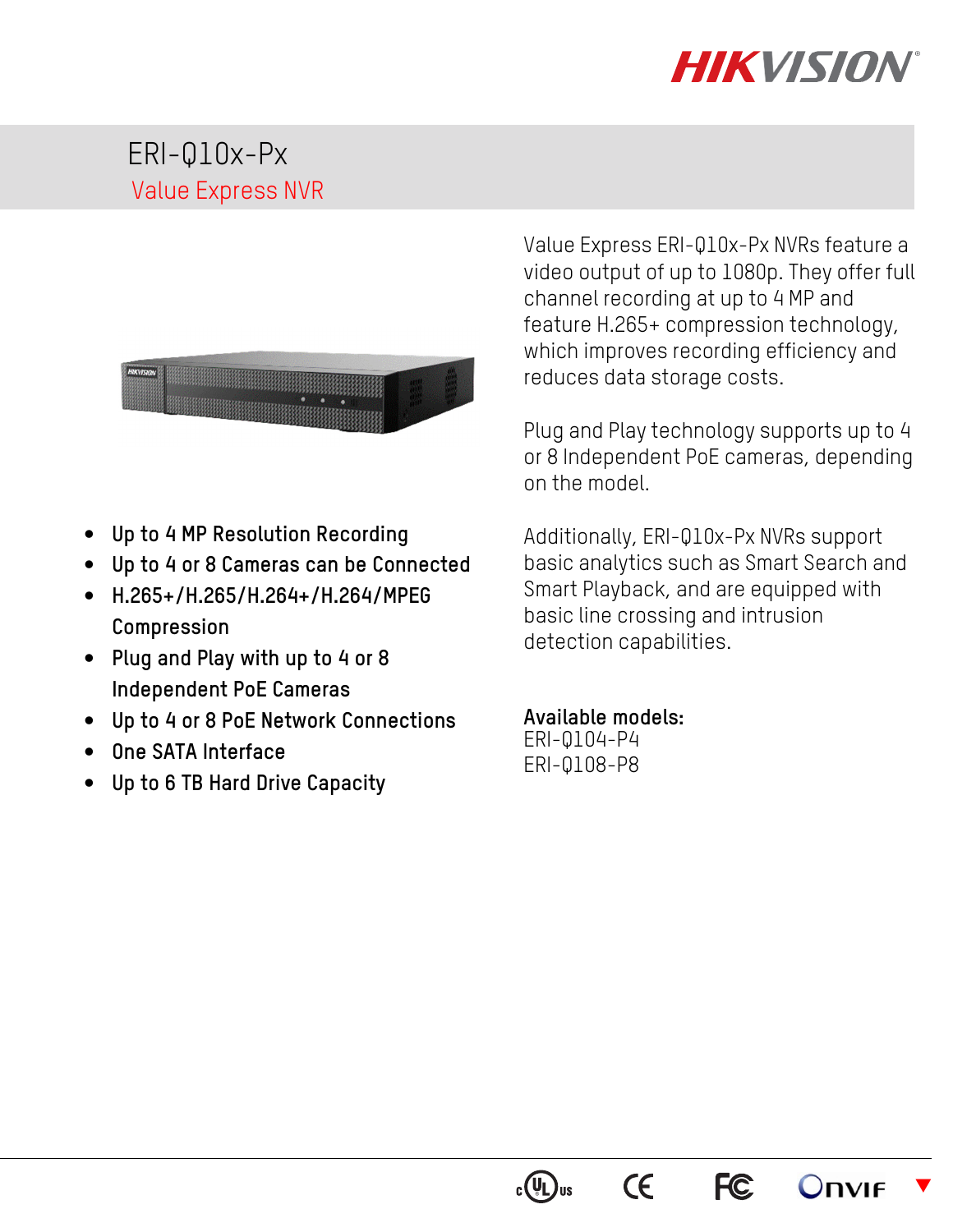# **HIKVISIOI**

# ERI-Q10x-Px Value Express NVR



- **Up to 4 MP Resolution Recording**
- **Up to 4 or 8 Cameras can be Connected**
- **H.265+/H.265/H.264+/H.264/MPEG Compression**
- **Plug and Play with up to 4 or 8 Independent PoE Cameras**
- **Up to 4 or 8 PoE Network Connections**
- **One SATA Interface**
- **Up to 6 TB Hard Drive Capacity**

Value Express ERI-Q10x-Px NVRs feature a video output of up to 1080p. They offer full channel recording at up to 4 MP and feature H.265+ compression technology, which improves recording efficiency and reduces data storage costs.

Plug and Play technology supports up to 4 or 8 Independent PoE cameras, depending on the model.

Additionally, ERI-Q10x-Px NVRs support basic analytics such as Smart Search and Smart Playback, and are equipped with basic line crossing and intrusion detection capabilities.

#### **Available models:**

ERI-Q104-P4 ERI-Q108-P8



 $\epsilon$ 



 $\blacktriangledown$